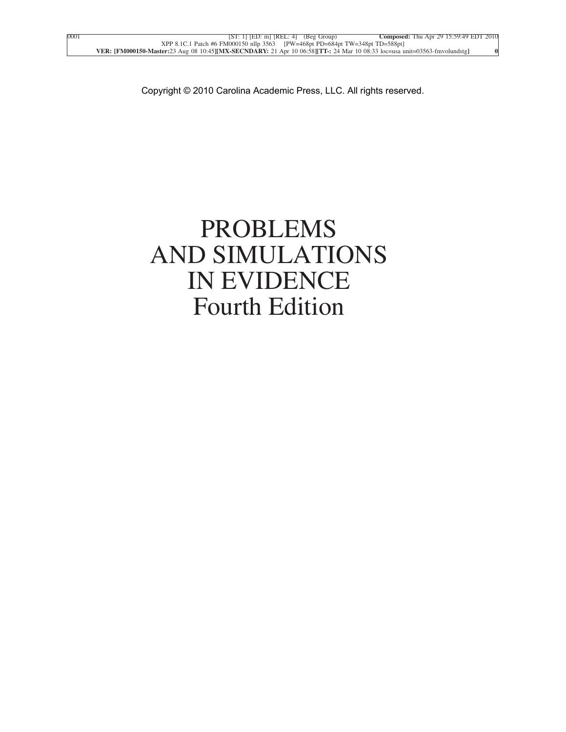# PROBLEMS AND SIMULATIONS IN EVIDENCE Fourth Edition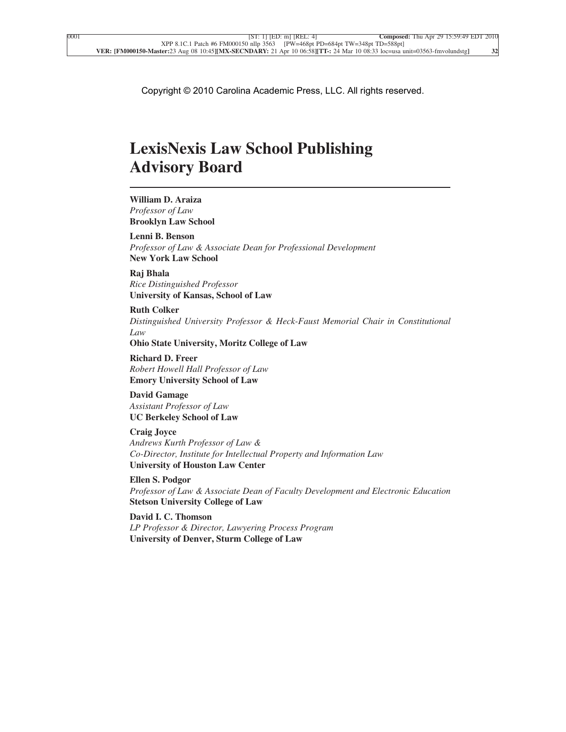### **LexisNexis Law School Publishing Advisory Board**

#### **William D. Araiza** *Professor of Law*

**Brooklyn Law School**

### **Lenni B. Benson**

*Professor of Law & Associate Dean for Professional Development* **New York Law School**

#### **Raj Bhala**

*Rice Distinguished Professor* **University of Kansas, School of Law**

#### **Ruth Colker**

*Distinguished University Professor & Heck-Faust Memorial Chair in Constitutional Law*

**Ohio State University, Moritz College of Law**

**Richard D. Freer** *Robert Howell Hall Professor of Law* **Emory University School of Law**

**David Gamage** *Assistant Professor of Law* **UC Berkeley School of Law**

**Craig Joyce** *Andrews Kurth Professor of Law & Co-Director, Institute for Intellectual Property and Information Law* **University of Houston Law Center**

**Ellen S. Podgor** *Professor of Law & Associate Dean of Faculty Development and Electronic Education* **Stetson University College of Law**

**David I. C. Thomson** *LP Professor & Director, Lawyering Process Program* **University of Denver, Sturm College of Law**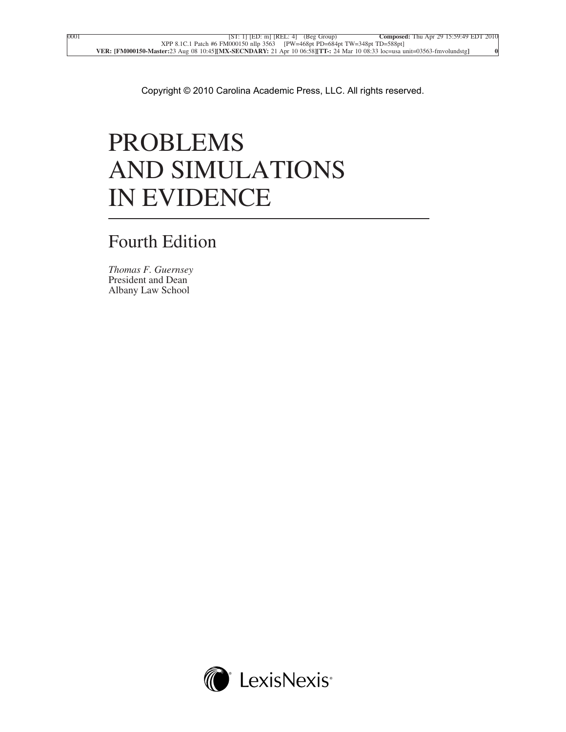# PROBLEMS AND SIMULATIONS IN EVIDENCE

### Fourth Edition

*Thomas F. Guernsey* President and Dean Albany Law School

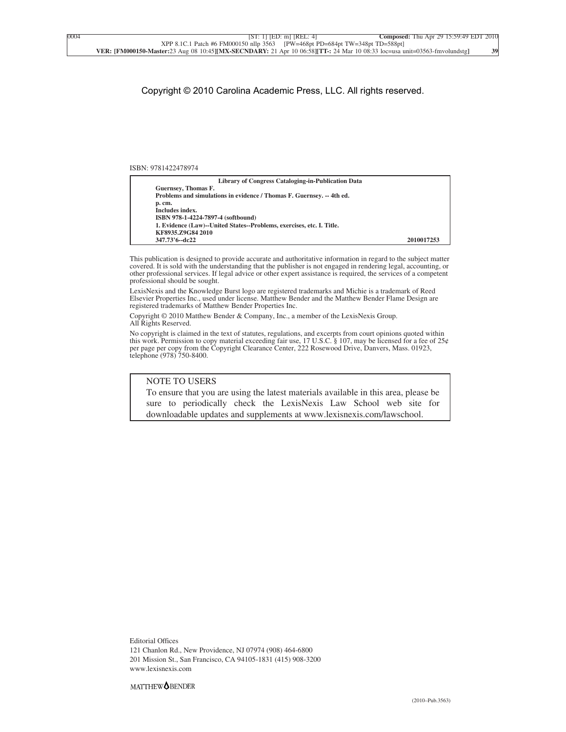ISBN: 9781422478974

| Library of Congress Cataloging-in-Publication Data                    |            |
|-----------------------------------------------------------------------|------------|
| Guernsey, Thomas F.                                                   |            |
| Problems and simulations in evidence / Thomas F. Guernsey. -- 4th ed. |            |
| p. cm.                                                                |            |
| Includes index.                                                       |            |
| ISBN 978-1-4224-7897-4 (softbound)                                    |            |
| 1. Evidence (Law)--United States--Problems, exercises, etc. I. Title. |            |
| KF8935.Z9G84 2010                                                     |            |
| 347.73'6--dc22                                                        | 2010017253 |

This publication is designed to provide accurate and authoritative information in regard to the subject matter covered. It is sold with the understanding that the publisher is not engaged in rendering legal, accounting, or other professional services. If legal advice or other expert assistance is required, the services of a competent professional should be sought.

LexisNexis and the Knowledge Burst logo are registered trademarks and Michie is a trademark of Reed Elsevier Properties Inc., used under license. Matthew Bender and the Matthew Bender Flame Design are registered trademarks of Matthew Bender Properties Inc.

Copyright © 2010 Matthew Bender & Company, Inc., a member of the LexisNexis Group. All Rights Reserved.

No copyright is claimed in the text of statutes, regulations, and excerpts from court opinions quoted within this work. Permission to copy material exceeding fair use, 17 U.S.C. § 107, may be licensed for a fee of  $25¢$ per page per copy from the Copyright Clearance Center, 222 Rosewood Drive, Danvers, Mass. 01923, telephone (978) 750-8400.

#### NOTE TO USERS

To ensure that you are using the latest materials available in this area, please be sure to periodically check the LexisNexis Law School web site for downloadable updates and supplements at www.lexisnexis.com/lawschool.

Editorial Offices 121 Chanlon Rd., New Providence, NJ 07974 (908) 464-6800 201 Mission St., San Francisco, CA 94105-1831 (415) 908-3200 www.lexisnexis.com

MATTHEW**OBENDER**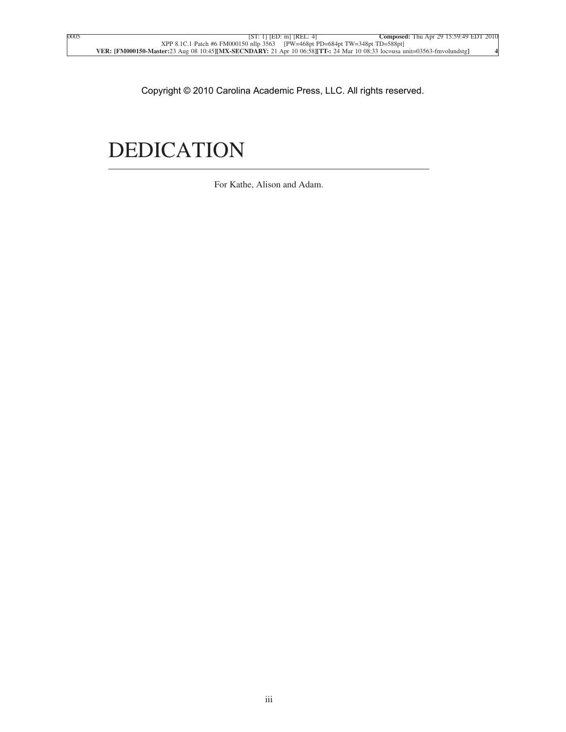## DEDICATION

For Kathe, Alison and Adam.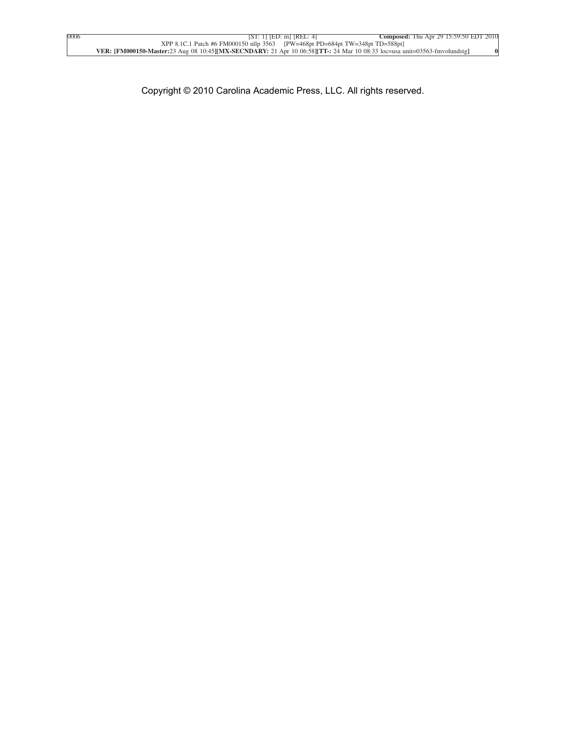Copyright © 2010 Carolina Academic Press, LLC. All rights reserved.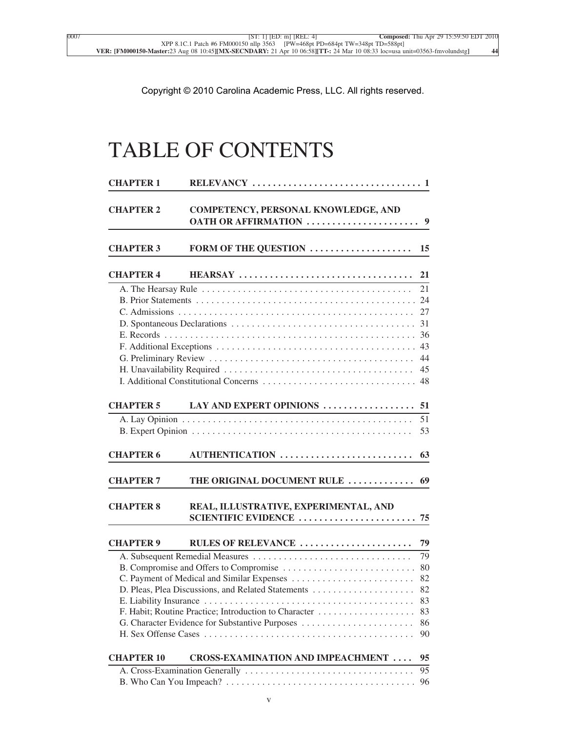## TABLE OF CONTENTS

| <b>CHAPTER 1</b>  |                                           |                 |
|-------------------|-------------------------------------------|-----------------|
| <b>CHAPTER 2</b>  | COMPETENCY, PERSONAL KNOWLEDGE, AND       |                 |
| <b>CHAPTER 3</b>  | FORM OF THE QUESTION                      | 15              |
| <b>CHAPTER 4</b>  |                                           | 21              |
|                   |                                           | 21              |
|                   |                                           |                 |
|                   |                                           | 27              |
|                   |                                           | 31              |
|                   |                                           |                 |
|                   |                                           |                 |
|                   |                                           | 44              |
|                   |                                           | 45              |
|                   |                                           | 48              |
| <b>CHAPTER 5</b>  | LAY AND EXPERT OPINIONS                   | 51              |
|                   |                                           | 51              |
|                   |                                           | 53              |
| <b>CHAPTER 6</b>  | AUTHENTICATION                            | 63              |
| <b>CHAPTER 7</b>  | THE ORIGINAL DOCUMENT RULE  69            |                 |
| <b>CHAPTER 8</b>  | REAL, ILLUSTRATIVE, EXPERIMENTAL, AND     |                 |
| <b>CHAPTER 9</b>  | RULES OF RELEVANCE                        | 79              |
|                   |                                           | $\overline{79}$ |
|                   |                                           | 80              |
|                   |                                           | 82              |
|                   |                                           | 82              |
|                   |                                           |                 |
|                   |                                           |                 |
|                   |                                           | 86              |
|                   |                                           | 90              |
| <b>CHAPTER 10</b> | <b>CROSS-EXAMINATION AND IMPEACHMENT </b> | 95              |
|                   |                                           | 95              |
|                   |                                           | 96              |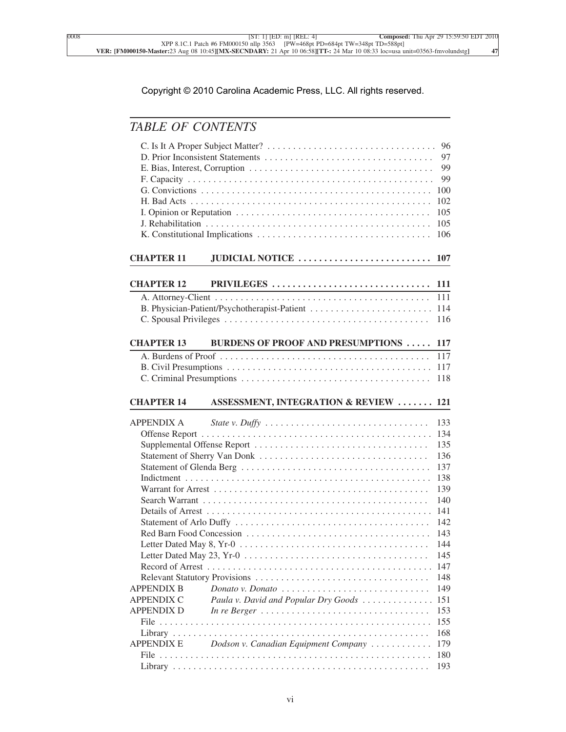### *TABLE OF CONTENTS*

|                   |                                                                            | 96         |
|-------------------|----------------------------------------------------------------------------|------------|
|                   |                                                                            |            |
|                   |                                                                            |            |
|                   |                                                                            |            |
|                   |                                                                            | 100        |
|                   |                                                                            | 102        |
|                   |                                                                            | 105        |
|                   |                                                                            | 105        |
|                   |                                                                            | 106        |
| <b>CHAPTER 11</b> |                                                                            |            |
| <b>CHAPTER 12</b> | PRIVILEGES                                                                 | <b>111</b> |
|                   |                                                                            |            |
|                   |                                                                            |            |
|                   |                                                                            | 116        |
| <b>CHAPTER 13</b> | <b>BURDENS OF PROOF AND PRESUMPTIONS </b>                                  | 117        |
|                   |                                                                            | 117        |
|                   |                                                                            | 117        |
|                   |                                                                            | 118        |
|                   |                                                                            |            |
| <b>CHAPTER 14</b> | ASSESSMENT, INTEGRATION & REVIEW  121                                      |            |
| <b>APPENDIX A</b> |                                                                            | 133        |
| 134               |                                                                            |            |
| 135               |                                                                            |            |
|                   |                                                                            |            |
|                   |                                                                            |            |
|                   |                                                                            |            |
|                   |                                                                            | 138<br>139 |
|                   |                                                                            | 140        |
|                   |                                                                            |            |
|                   |                                                                            | 141<br>142 |
|                   |                                                                            | 143        |
|                   |                                                                            | 144        |
|                   |                                                                            | 145        |
|                   |                                                                            | 147        |
|                   |                                                                            |            |
| <b>APPENDIX B</b> | Donato v. Donato $\dots\dots\dots\dots\dots\dots\dots\dots\dots\dots\dots$ | 148<br>149 |
| <b>APPENDIX C</b> | Paula v. David and Popular Dry Goods                                       | 151        |
|                   |                                                                            | 153        |
| <b>APPENDIX D</b> |                                                                            | 155        |
|                   |                                                                            |            |
|                   |                                                                            | 168        |
| <b>APPENDIX E</b> | Dodson v. Canadian Equipment Company                                       | 179        |
|                   |                                                                            | 180        |
|                   |                                                                            | 193        |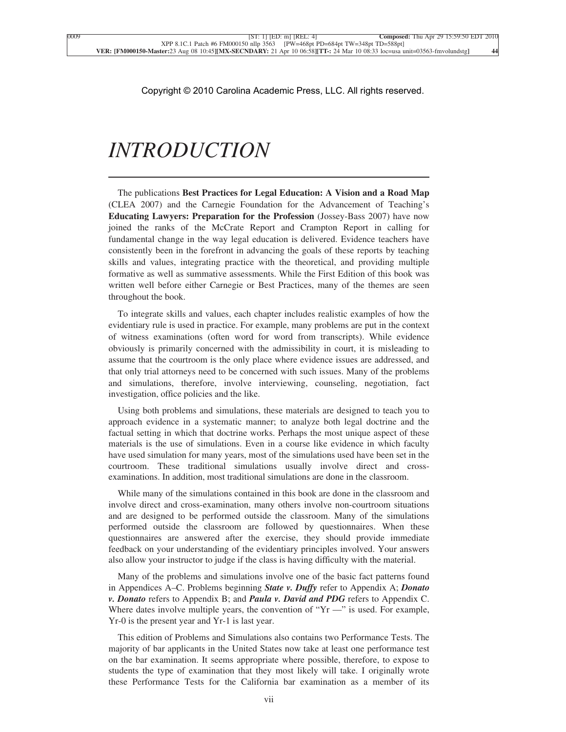### *INTRODUCTION*

The publications **Best Practices for Legal Education: A Vision and a Road Map** (CLEA 2007) and the Carnegie Foundation for the Advancement of Teaching's **Educating Lawyers: Preparation for the Profession** (Jossey-Bass 2007) have now joined the ranks of the McCrate Report and Crampton Report in calling for fundamental change in the way legal education is delivered. Evidence teachers have consistently been in the forefront in advancing the goals of these reports by teaching skills and values, integrating practice with the theoretical, and providing multiple formative as well as summative assessments. While the First Edition of this book was written well before either Carnegie or Best Practices, many of the themes are seen throughout the book.

To integrate skills and values, each chapter includes realistic examples of how the evidentiary rule is used in practice. For example, many problems are put in the context of witness examinations (often word for word from transcripts). While evidence obviously is primarily concerned with the admissibility in court, it is misleading to assume that the courtroom is the only place where evidence issues are addressed, and that only trial attorneys need to be concerned with such issues. Many of the problems and simulations, therefore, involve interviewing, counseling, negotiation, fact investigation, office policies and the like.

Using both problems and simulations, these materials are designed to teach you to approach evidence in a systematic manner; to analyze both legal doctrine and the factual setting in which that doctrine works. Perhaps the most unique aspect of these materials is the use of simulations. Even in a course like evidence in which faculty have used simulation for many years, most of the simulations used have been set in the courtroom. These traditional simulations usually involve direct and crossexaminations. In addition, most traditional simulations are done in the classroom.

While many of the simulations contained in this book are done in the classroom and involve direct and cross-examination, many others involve non-courtroom situations and are designed to be performed outside the classroom. Many of the simulations performed outside the classroom are followed by questionnaires. When these questionnaires are answered after the exercise, they should provide immediate feedback on your understanding of the evidentiary principles involved. Your answers also allow your instructor to judge if the class is having difficulty with the material.

Many of the problems and simulations involve one of the basic fact patterns found in Appendices A–C. Problems beginning *State v. Duffy* refer to Appendix A; *Donato v. Donato* refers to Appendix B; and *Paula v. David and PDG* refers to Appendix C. Where dates involve multiple years, the convention of " $Yr$  —" is used. For example, Yr-0 is the present year and Yr-1 is last year.

This edition of Problems and Simulations also contains two Performance Tests. The majority of bar applicants in the United States now take at least one performance test on the bar examination. It seems appropriate where possible, therefore, to expose to students the type of examination that they most likely will take. I originally wrote these Performance Tests for the California bar examination as a member of its